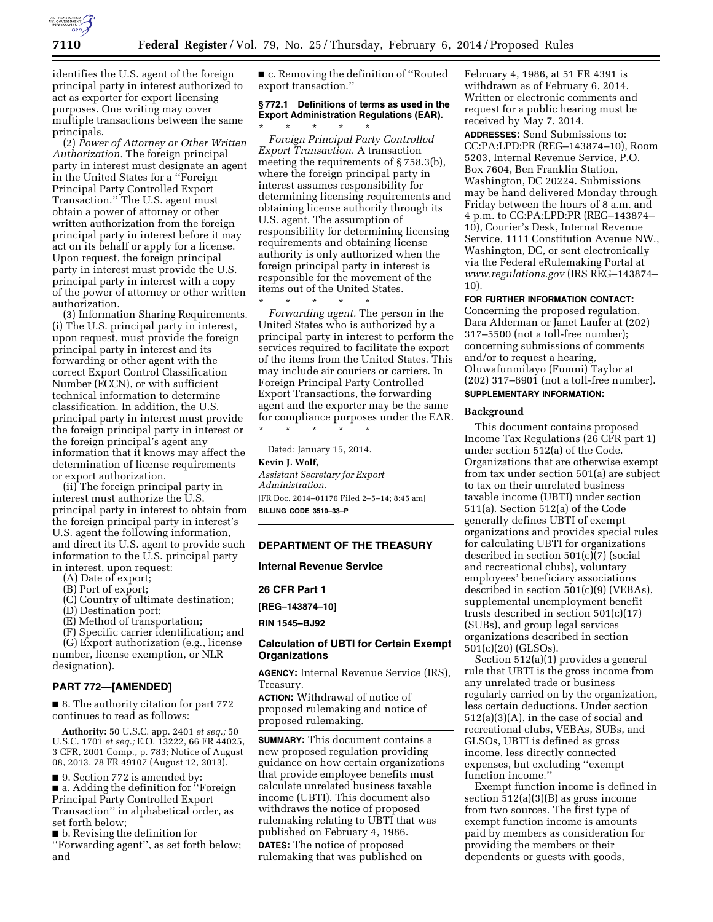

identifies the U.S. agent of the foreign principal party in interest authorized to act as exporter for export licensing purposes. One writing may cover multiple transactions between the same principals.

(2) *Power of Attorney or Other Written Authorization.* The foreign principal party in interest must designate an agent in the United States for a ''Foreign Principal Party Controlled Export Transaction.'' The U.S. agent must obtain a power of attorney or other written authorization from the foreign principal party in interest before it may act on its behalf or apply for a license. Upon request, the foreign principal party in interest must provide the U.S. principal party in interest with a copy of the power of attorney or other written authorization.

(3) Information Sharing Requirements. (i) The U.S. principal party in interest, upon request, must provide the foreign principal party in interest and its forwarding or other agent with the correct Export Control Classification Number (ECCN), or with sufficient technical information to determine classification. In addition, the U.S. principal party in interest must provide the foreign principal party in interest or the foreign principal's agent any information that it knows may affect the determination of license requirements or export authorization.

(ii) The foreign principal party in interest must authorize the U.S. principal party in interest to obtain from the foreign principal party in interest's U.S. agent the following information, and direct its U.S. agent to provide such information to the U.S. principal party in interest, upon request:

- (A) Date of export;
- (B) Port of export;
- (C) Country of ultimate destination;
- (D) Destination port;
- (E) Method of transportation;

(F) Specific carrier identification; and

(G) Export authorization (e.g., license

number, license exemption, or NLR designation).

## **PART 772—[AMENDED]**

■ 8. The authority citation for part 772 continues to read as follows:

**Authority:** 50 U.S.C. app. 2401 *et seq.;* 50 U.S.C. 1701 *et seq.;* E.O. 13222, 66 FR 44025, 3 CFR, 2001 Comp., p. 783; Notice of August 08, 2013, 78 FR 49107 (August 12, 2013).

■ 9. Section 772 is amended by: ■ a. Adding the definition for "Foreign Principal Party Controlled Export Transaction'' in alphabetical order, as set forth below;

■ b. Revising the definition for ''Forwarding agent'', as set forth below; and

■ c. Removing the definition of "Routed" export transaction.''

#### **§ 772.1 Definitions of terms as used in the Export Administration Regulations (EAR).**  \* \* \* \* \*

*Foreign Principal Party Controlled Export Transaction.* A transaction meeting the requirements of § 758.3(b), where the foreign principal party in interest assumes responsibility for determining licensing requirements and obtaining license authority through its U.S. agent. The assumption of responsibility for determining licensing requirements and obtaining license authority is only authorized when the foreign principal party in interest is responsible for the movement of the items out of the United States.

\* \* \* \* \* *Forwarding agent.* The person in the United States who is authorized by a principal party in interest to perform the services required to facilitate the export of the items from the United States. This may include air couriers or carriers. In Foreign Principal Party Controlled Export Transactions, the forwarding agent and the exporter may be the same for compliance purposes under the EAR. \* \* \* \* \*

Dated: January 15, 2014. **Kevin J. Wolf,**  *Assistant Secretary for Export Administration.*  [FR Doc. 2014–01176 Filed 2–5–14; 8:45 am] **BILLING CODE 3510–33–P** 

#### **DEPARTMENT OF THE TREASURY**

**Internal Revenue Service** 

**26 CFR Part 1** 

**[REG–143874–10]** 

**RIN 1545–BJ92** 

## **Calculation of UBTI for Certain Exempt Organizations**

**AGENCY:** Internal Revenue Service (IRS), Treasury.

**ACTION:** Withdrawal of notice of proposed rulemaking and notice of proposed rulemaking.

**SUMMARY:** This document contains a new proposed regulation providing guidance on how certain organizations that provide employee benefits must calculate unrelated business taxable income (UBTI). This document also withdraws the notice of proposed rulemaking relating to UBTI that was published on February 4, 1986. **DATES:** The notice of proposed rulemaking that was published on

February 4, 1986, at 51 FR 4391 is withdrawn as of February 6, 2014. Written or electronic comments and request for a public hearing must be received by May 7, 2014.

**ADDRESSES:** Send Submissions to: CC:PA:LPD:PR (REG–143874–10), Room 5203, Internal Revenue Service, P.O. Box 7604, Ben Franklin Station, Washington, DC 20224. Submissions may be hand delivered Monday through Friday between the hours of 8 a.m. and 4 p.m. to CC:PA:LPD:PR (REG–143874– 10), Courier's Desk, Internal Revenue Service, 1111 Constitution Avenue NW., Washington, DC, or sent electronically via the Federal eRulemaking Portal at *[www.regulations.gov](http://www.regulations.gov)* (IRS REG–143874– 10).

#### **FOR FURTHER INFORMATION CONTACT:**

Concerning the proposed regulation, Dara Alderman or Janet Laufer at (202) 317–5500 (not a toll-free number); concerning submissions of comments and/or to request a hearing, Oluwafunmilayo (Fumni) Taylor at (202) 317–6901 (not a toll-free number). **SUPPLEMENTARY INFORMATION:** 

#### **Background**

This document contains proposed Income Tax Regulations (26 CFR part 1) under section 512(a) of the Code. Organizations that are otherwise exempt from tax under section 501(a) are subject to tax on their unrelated business taxable income (UBTI) under section 511(a). Section 512(a) of the Code generally defines UBTI of exempt organizations and provides special rules for calculating UBTI for organizations described in section 501(c)(7) (social and recreational clubs), voluntary employees' beneficiary associations described in section 501(c)(9) (VEBAs), supplemental unemployment benefit trusts described in section 501(c)(17) (SUBs), and group legal services organizations described in section 501(c)(20) (GLSOs).

Section 512(a)(1) provides a general rule that UBTI is the gross income from any unrelated trade or business regularly carried on by the organization, less certain deductions. Under section 512(a)(3)(A), in the case of social and recreational clubs, VEBAs, SUBs, and GLSOs, UBTI is defined as gross income, less directly connected expenses, but excluding ''exempt function income.''

Exempt function income is defined in section 512(a)(3)(B) as gross income from two sources. The first type of exempt function income is amounts paid by members as consideration for providing the members or their dependents or guests with goods,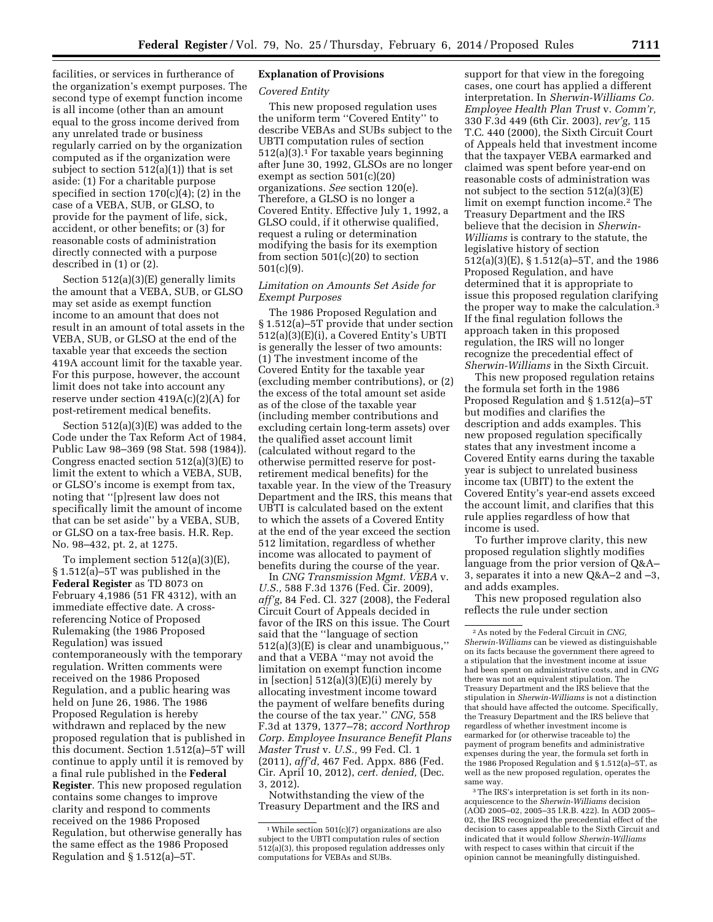facilities, or services in furtherance of the organization's exempt purposes. The second type of exempt function income is all income (other than an amount equal to the gross income derived from any unrelated trade or business regularly carried on by the organization computed as if the organization were subject to section  $512(a)(1)$  that is set aside: (1) For a charitable purpose specified in section  $170(c)(4)$ ; (2) in the case of a VEBA, SUB, or GLSO, to provide for the payment of life, sick, accident, or other benefits; or (3) for reasonable costs of administration directly connected with a purpose described in (1) or (2).

Section 512(a)(3)(E) generally limits the amount that a VEBA, SUB, or GLSO may set aside as exempt function income to an amount that does not result in an amount of total assets in the VEBA, SUB, or GLSO at the end of the taxable year that exceeds the section 419A account limit for the taxable year. For this purpose, however, the account limit does not take into account any reserve under section 419A(c)(2)(A) for post-retirement medical benefits.

Section 512(a)(3)(E) was added to the Code under the Tax Reform Act of 1984, Public Law 98–369 (98 Stat. 598 (1984)). Congress enacted section 512(a)(3)(E) to limit the extent to which a VEBA, SUB, or GLSO's income is exempt from tax, noting that ''[p]resent law does not specifically limit the amount of income that can be set aside'' by a VEBA, SUB, or GLSO on a tax-free basis. H.R. Rep. No. 98–432, pt. 2, at 1275.

To implement section 512(a)(3)(E), § 1.512(a)–5T was published in the **Federal Register** as TD 8073 on February 4,1986 (51 FR 4312), with an immediate effective date. A crossreferencing Notice of Proposed Rulemaking (the 1986 Proposed Regulation) was issued contemporaneously with the temporary regulation. Written comments were received on the 1986 Proposed Regulation, and a public hearing was held on June 26, 1986. The 1986 Proposed Regulation is hereby withdrawn and replaced by the new proposed regulation that is published in this document. Section 1.512(a)–5T will continue to apply until it is removed by a final rule published in the **Federal Register**. This new proposed regulation contains some changes to improve clarity and respond to comments received on the 1986 Proposed Regulation, but otherwise generally has the same effect as the 1986 Proposed Regulation and § 1.512(a)–5T.

## **Explanation of Provisions**

### *Covered Entity*

This new proposed regulation uses the uniform term ''Covered Entity'' to describe VEBAs and SUBs subject to the UBTI computation rules of section 512(a)(3).1 For taxable years beginning after June 30, 1992, GLSOs are no longer exempt as section 501(c)(20) organizations. *See* section 120(e). Therefore, a GLSO is no longer a Covered Entity. Effective July 1, 1992, a GLSO could, if it otherwise qualified, request a ruling or determination modifying the basis for its exemption from section 501(c)(20) to section 501(c)(9).

## *Limitation on Amounts Set Aside for Exempt Purposes*

The 1986 Proposed Regulation and § 1.512(a)–5T provide that under section 512(a)(3)(E)(i), a Covered Entity's UBTI is generally the lesser of two amounts: (1) The investment income of the Covered Entity for the taxable year (excluding member contributions), or (2) the excess of the total amount set aside as of the close of the taxable year (including member contributions and excluding certain long-term assets) over the qualified asset account limit (calculated without regard to the otherwise permitted reserve for postretirement medical benefits) for the taxable year. In the view of the Treasury Department and the IRS, this means that UBTI is calculated based on the extent to which the assets of a Covered Entity at the end of the year exceed the section 512 limitation, regardless of whether income was allocated to payment of benefits during the course of the year.

In *CNG Transmission Mgmt. VEBA* v. *U.S.,* 588 F.3d 1376 (Fed. Cir. 2009), *aff'g,* 84 Fed. Cl. 327 (2008), the Federal Circuit Court of Appeals decided in favor of the IRS on this issue. The Court said that the ''language of section 512(a)(3)(E) is clear and unambiguous,'' and that a VEBA ''may not avoid the limitation on exempt function income in [section]  $512(a)(3)(E)(i)$  merely by allocating investment income toward the payment of welfare benefits during the course of the tax year.'' *CNG,* 558 F.3d at 1379, 1377–78; *accord Northrop Corp. Employee Insurance Benefit Plans Master Trust* v. *U.S.,* 99 Fed. Cl. 1 (2011), *aff'd,* 467 Fed. Appx. 886 (Fed. Cir. April 10, 2012), *cert. denied,* (Dec. 3, 2012).

Notwithstanding the view of the Treasury Department and the IRS and support for that view in the foregoing cases, one court has applied a different interpretation. In *Sherwin-Williams Co. Employee Health Plan Trust* v. *Comm'r,*  330 F.3d 449 (6th Cir. 2003), *rev'g,* 115 T.C. 440 (2000), the Sixth Circuit Court of Appeals held that investment income that the taxpayer VEBA earmarked and claimed was spent before year-end on reasonable costs of administration was not subject to the section 512(a)(3)(E) limit on exempt function income.2 The Treasury Department and the IRS believe that the decision in *Sherwin-Williams* is contrary to the statute, the legislative history of section 512(a)(3)(E), § 1.512(a)–5T, and the 1986 Proposed Regulation, and have determined that it is appropriate to issue this proposed regulation clarifying the proper way to make the calculation.<sup>3</sup> If the final regulation follows the approach taken in this proposed regulation, the IRS will no longer recognize the precedential effect of *Sherwin-Williams* in the Sixth Circuit.

This new proposed regulation retains the formula set forth in the 1986 Proposed Regulation and § 1.512(a)–5T but modifies and clarifies the description and adds examples. This new proposed regulation specifically states that any investment income a Covered Entity earns during the taxable year is subject to unrelated business income tax (UBIT) to the extent the Covered Entity's year-end assets exceed the account limit, and clarifies that this rule applies regardless of how that income is used.

To further improve clarity, this new proposed regulation slightly modifies language from the prior version of Q&A– 3, separates it into a new Q&A–2 and –3, and adds examples.

This new proposed regulation also reflects the rule under section

 $1$  While section  $501(c)(7)$  organizations are also subject to the UBTI computation rules of section 512(a)(3), this proposed regulation addresses only computations for VEBAs and SUBs.

<sup>2</sup>As noted by the Federal Circuit in *CNG, Sherwin-Williams* can be viewed as distinguishable on its facts because the government there agreed to a stipulation that the investment income at issue had been spent on administrative costs, and in *CNG*  there was not an equivalent stipulation. The Treasury Department and the IRS believe that the stipulation in *Sherwin-Williams* is not a distinction that should have affected the outcome. Specifically, the Treasury Department and the IRS believe that regardless of whether investment income is earmarked for (or otherwise traceable to) the payment of program benefits and administrative expenses during the year, the formula set forth in the 1986 Proposed Regulation and § 1.512(a)–5T, as well as the new proposed regulation, operates the same way.

<sup>3</sup>The IRS's interpretation is set forth in its nonacquiescence to the *Sherwin-Williams* decision (AOD 2005–02, 2005–35 I.R.B. 422). In AOD 2005– 02, the IRS recognized the precedential effect of the decision to cases appealable to the Sixth Circuit and indicated that it would follow *Sherwin-Williams*  with respect to cases within that circuit if the opinion cannot be meaningfully distinguished.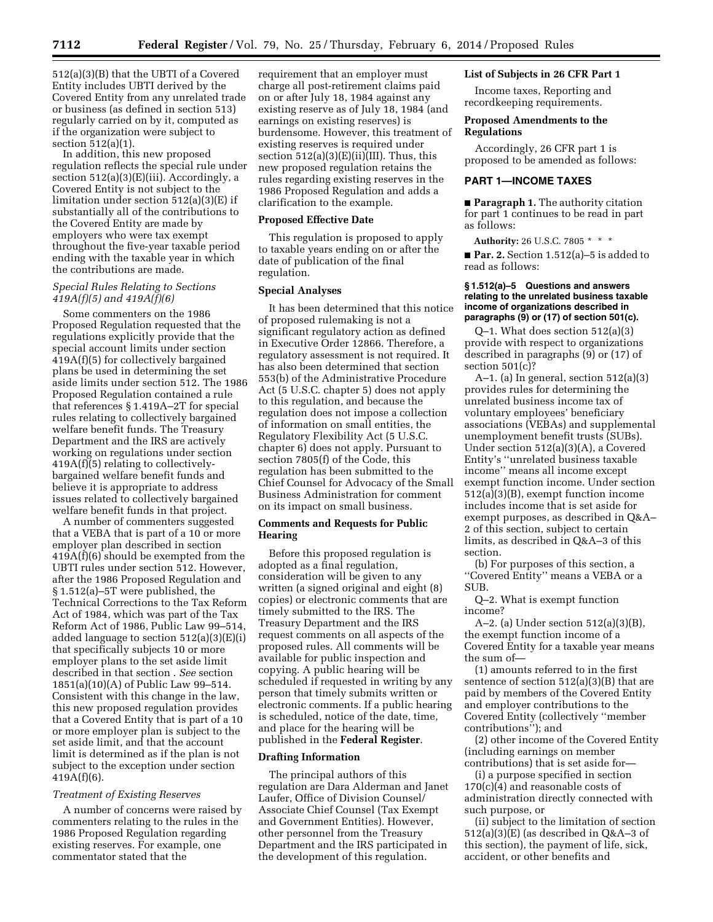512(a)(3)(B) that the UBTI of a Covered Entity includes UBTI derived by the Covered Entity from any unrelated trade or business (as defined in section 513) regularly carried on by it, computed as if the organization were subject to section 512(a)(1).

In addition, this new proposed regulation reflects the special rule under section  $512(a)(3)(E)(iii)$ . Accordingly, a Covered Entity is not subject to the limitation under section 512(a)(3)(E) if substantially all of the contributions to the Covered Entity are made by employers who were tax exempt throughout the five-year taxable period ending with the taxable year in which the contributions are made.

### *Special Rules Relating to Sections 419A(f)(5) and 419A(f)(6)*

Some commenters on the 1986 Proposed Regulation requested that the regulations explicitly provide that the special account limits under section 419A(f)(5) for collectively bargained plans be used in determining the set aside limits under section 512. The 1986 Proposed Regulation contained a rule that references § 1.419A–2T for special rules relating to collectively bargained welfare benefit funds. The Treasury Department and the IRS are actively working on regulations under section 419A(f)(5) relating to collectivelybargained welfare benefit funds and believe it is appropriate to address issues related to collectively bargained welfare benefit funds in that project.

A number of commenters suggested that a VEBA that is part of a 10 or more employer plan described in section 419A(f)(6) should be exempted from the UBTI rules under section 512. However, after the 1986 Proposed Regulation and § 1.512(a)–5T were published, the Technical Corrections to the Tax Reform Act of 1984, which was part of the Tax Reform Act of 1986, Public Law 99–514, added language to section 512(a)(3)(E)(i) that specifically subjects 10 or more employer plans to the set aside limit described in that section . *See* section 1851(a)(10)(A) of Public Law 99–514. Consistent with this change in the law, this new proposed regulation provides that a Covered Entity that is part of a 10 or more employer plan is subject to the set aside limit, and that the account limit is determined as if the plan is not subject to the exception under section 419A(f)(6).

#### *Treatment of Existing Reserves*

A number of concerns were raised by commenters relating to the rules in the 1986 Proposed Regulation regarding existing reserves. For example, one commentator stated that the

requirement that an employer must charge all post-retirement claims paid on or after July 18, 1984 against any existing reserve as of July 18, 1984 (and earnings on existing reserves) is burdensome. However, this treatment of existing reserves is required under section  $512(a)(3)(E)(ii)(III)$ . Thus, this new proposed regulation retains the rules regarding existing reserves in the 1986 Proposed Regulation and adds a clarification to the example.

# **Proposed Effective Date**

This regulation is proposed to apply to taxable years ending on or after the date of publication of the final regulation.

#### **Special Analyses**

It has been determined that this notice of proposed rulemaking is not a significant regulatory action as defined in Executive Order 12866. Therefore, a regulatory assessment is not required. It has also been determined that section 553(b) of the Administrative Procedure Act (5 U.S.C. chapter 5) does not apply to this regulation, and because the regulation does not impose a collection of information on small entities, the Regulatory Flexibility Act (5 U.S.C. chapter 6) does not apply. Pursuant to section 7805(f) of the Code, this regulation has been submitted to the Chief Counsel for Advocacy of the Small Business Administration for comment on its impact on small business.

### **Comments and Requests for Public Hearing**

Before this proposed regulation is adopted as a final regulation, consideration will be given to any written (a signed original and eight (8) copies) or electronic comments that are timely submitted to the IRS. The Treasury Department and the IRS request comments on all aspects of the proposed rules. All comments will be available for public inspection and copying. A public hearing will be scheduled if requested in writing by any person that timely submits written or electronic comments. If a public hearing is scheduled, notice of the date, time, and place for the hearing will be published in the **Federal Register**.

#### **Drafting Information**

The principal authors of this regulation are Dara Alderman and Janet Laufer, Office of Division Counsel/ Associate Chief Counsel (Tax Exempt and Government Entities). However, other personnel from the Treasury Department and the IRS participated in the development of this regulation.

## **List of Subjects in 26 CFR Part 1**

Income taxes, Reporting and recordkeeping requirements.

## **Proposed Amendments to the Regulations**

Accordingly, 26 CFR part 1 is proposed to be amended as follows:

#### **PART 1—INCOME TAXES**

■ **Paragraph 1.** The authority citation for part 1 continues to be read in part as follows:

**Authority:** 26 U.S.C. 7805 \* \* \* ■ **Par. 2.** Section 1.512(a)–5 is added to read as follows:

#### **§ 1.512(a)–5 Questions and answers relating to the unrelated business taxable income of organizations described in paragraphs (9) or (17) of section 501(c).**

Q–1. What does section 512(a)(3) provide with respect to organizations described in paragraphs (9) or (17) of section  $501(c)$ ?

A–1. (a) In general, section  $512(a)(3)$ provides rules for determining the unrelated business income tax of voluntary employees' beneficiary associations (VEBAs) and supplemental unemployment benefit trusts (SUBs). Under section 512(a)(3)(A), a Covered Entity's ''unrelated business taxable income'' means all income except exempt function income. Under section 512(a)(3)(B), exempt function income includes income that is set aside for exempt purposes, as described in Q&A– 2 of this section, subject to certain limits, as described in Q&A–3 of this section.

(b) For purposes of this section, a ''Covered Entity'' means a VEBA or a SUB.

Q–2. What is exempt function income?

A–2. (a) Under section 512(a)(3)(B), the exempt function income of a Covered Entity for a taxable year means the sum of—

(1) amounts referred to in the first sentence of section 512(a)(3)(B) that are paid by members of the Covered Entity and employer contributions to the Covered Entity (collectively ''member contributions''); and

(2) other income of the Covered Entity (including earnings on member contributions) that is set aside for—

(i) a purpose specified in section  $170(c)(4)$  and reasonable costs of administration directly connected with such purpose, or

(ii) subject to the limitation of section 512(a)(3)(E) (as described in Q&A–3 of this section), the payment of life, sick, accident, or other benefits and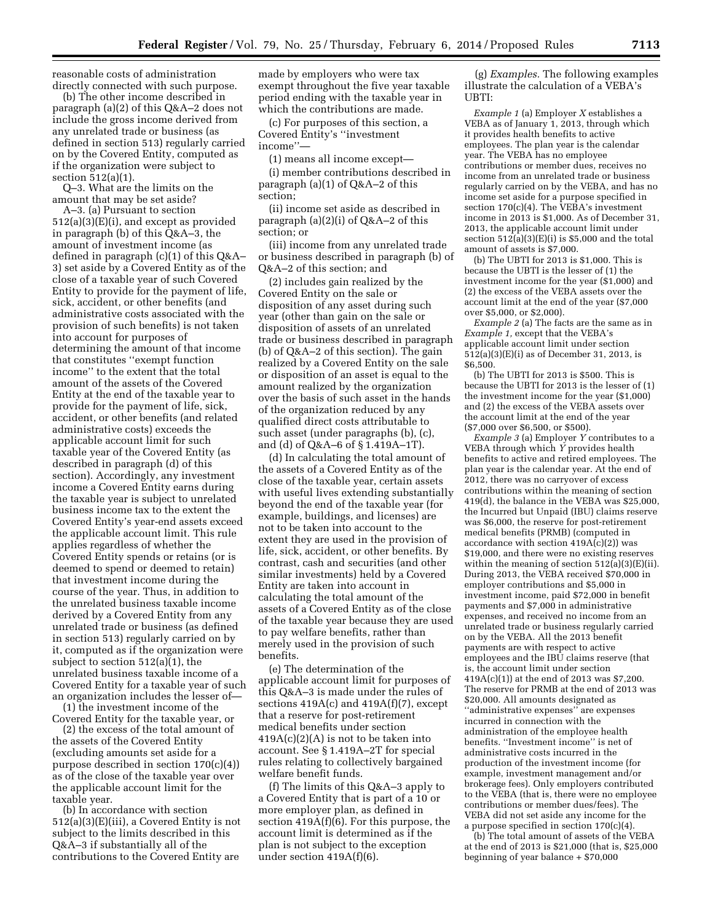reasonable costs of administration directly connected with such purpose.

(b) The other income described in paragraph (a)(2) of this Q&A–2 does not include the gross income derived from any unrelated trade or business (as defined in section 513) regularly carried on by the Covered Entity, computed as if the organization were subject to section 512(a)(1).

Q–3. What are the limits on the amount that may be set aside? A–3. (a) Pursuant to section 512(a)(3)(E)(i), and except as provided in paragraph (b) of this Q&A–3, the amount of investment income (as defined in paragraph (c)(1) of this Q&A– 3) set aside by a Covered Entity as of the close of a taxable year of such Covered Entity to provide for the payment of life, sick, accident, or other benefits (and administrative costs associated with the provision of such benefits) is not taken into account for purposes of determining the amount of that income that constitutes ''exempt function income'' to the extent that the total amount of the assets of the Covered Entity at the end of the taxable year to provide for the payment of life, sick, accident, or other benefits (and related administrative costs) exceeds the applicable account limit for such taxable year of the Covered Entity (as described in paragraph (d) of this section). Accordingly, any investment income a Covered Entity earns during the taxable year is subject to unrelated business income tax to the extent the Covered Entity's year-end assets exceed the applicable account limit. This rule applies regardless of whether the Covered Entity spends or retains (or is deemed to spend or deemed to retain) that investment income during the course of the year. Thus, in addition to the unrelated business taxable income derived by a Covered Entity from any unrelated trade or business (as defined in section 513) regularly carried on by it, computed as if the organization were subject to section 512(a)(1), the unrelated business taxable income of a Covered Entity for a taxable year of such an organization includes the lesser of—

(1) the investment income of the Covered Entity for the taxable year, or

(2) the excess of the total amount of the assets of the Covered Entity (excluding amounts set aside for a purpose described in section 170(c)(4)) as of the close of the taxable year over the applicable account limit for the taxable year.

(b) In accordance with section 512(a)(3)(E)(iii), a Covered Entity is not subject to the limits described in this Q&A–3 if substantially all of the contributions to the Covered Entity are

made by employers who were tax exempt throughout the five year taxable period ending with the taxable year in which the contributions are made.

(c) For purposes of this section, a Covered Entity's ''investment income''—

(1) means all income except—

(i) member contributions described in paragraph (a)(1) of Q&A–2 of this section;

(ii) income set aside as described in paragraph  $(a)(2)(i)$  of Q&A–2 of this section; or

(iii) income from any unrelated trade or business described in paragraph (b) of Q&A–2 of this section; and

(2) includes gain realized by the Covered Entity on the sale or disposition of any asset during such year (other than gain on the sale or disposition of assets of an unrelated trade or business described in paragraph (b) of Q&A–2 of this section). The gain realized by a Covered Entity on the sale or disposition of an asset is equal to the amount realized by the organization over the basis of such asset in the hands of the organization reduced by any qualified direct costs attributable to such asset (under paragraphs (b), (c), and (d) of Q&A–6 of § 1.419A–1T).

(d) In calculating the total amount of the assets of a Covered Entity as of the close of the taxable year, certain assets with useful lives extending substantially beyond the end of the taxable year (for example, buildings, and licenses) are not to be taken into account to the extent they are used in the provision of life, sick, accident, or other benefits. By contrast, cash and securities (and other similar investments) held by a Covered Entity are taken into account in calculating the total amount of the assets of a Covered Entity as of the close of the taxable year because they are used to pay welfare benefits, rather than merely used in the provision of such benefits.

(e) The determination of the applicable account limit for purposes of this Q&A–3 is made under the rules of sections  $419A(c)$  and  $419A(f)(7)$ , except that a reserve for post-retirement medical benefits under section  $419A(c)(2)(A)$  is not to be taken into account. See § 1.419A–2T for special rules relating to collectively bargained welfare benefit funds.

(f) The limits of this Q&A–3 apply to a Covered Entity that is part of a 10 or more employer plan, as defined in section 419A(f)(6). For this purpose, the account limit is determined as if the plan is not subject to the exception under section 419A(f)(6).

(g) *Examples.* The following examples illustrate the calculation of a VEBA's UBTI:

*Example 1* (a) Employer *X* establishes a VEBA as of January 1, 2013, through which it provides health benefits to active employees. The plan year is the calendar year. The VEBA has no employee contributions or member dues, receives no income from an unrelated trade or business regularly carried on by the VEBA, and has no income set aside for a purpose specified in section 170(c)(4). The VEBA's investment income in 2013 is \$1,000. As of December 31, 2013, the applicable account limit under section  $512(a)(3)(E)(i)$  is \$5,000 and the total amount of assets is \$7,000.

(b) The UBTI for 2013 is \$1,000. This is because the UBTI is the lesser of (1) the investment income for the year (\$1,000) and (2) the excess of the VEBA assets over the account limit at the end of the year (\$7,000 over \$5,000, or \$2,000).

*Example 2* (a) The facts are the same as in *Example 1,* except that the VEBA's applicable account limit under section  $512(a)(3)(E)(i)$  as of December 31, 2013, is \$6,500.

(b) The UBTI for 2013 is \$500. This is because the UBTI for 2013 is the lesser of (1) the investment income for the year (\$1,000) and (2) the excess of the VEBA assets over the account limit at the end of the year (\$7,000 over \$6,500, or \$500).

*Example 3* (a) Employer *Y* contributes to a VEBA through which *Y* provides health benefits to active and retired employees. The plan year is the calendar year. At the end of 2012, there was no carryover of excess contributions within the meaning of section 419(d), the balance in the VEBA was \$25,000, the Incurred but Unpaid (IBU) claims reserve was \$6,000, the reserve for post-retirement medical benefits (PRMB) (computed in accordance with section  $419A(c)(2)$  was \$19,000, and there were no existing reserves within the meaning of section  $512(a)(3)(E)(ii)$ . During 2013, the VEBA received \$70,000 in employer contributions and \$5,000 in investment income, paid \$72,000 in benefit payments and \$7,000 in administrative expenses, and received no income from an unrelated trade or business regularly carried on by the VEBA. All the 2013 benefit payments are with respect to active employees and the IBU claims reserve (that is, the account limit under section 419A(c)(1)) at the end of 2013 was \$7,200. The reserve for PRMB at the end of 2013 was \$20,000. All amounts designated as ''administrative expenses'' are expenses incurred in connection with the administration of the employee health benefits. ''Investment income'' is net of administrative costs incurred in the production of the investment income (for example, investment management and/or brokerage fees). Only employers contributed to the VEBA (that is, there were no employee contributions or member dues/fees). The VEBA did not set aside any income for the a purpose specified in section 170(c)(4).

(b) The total amount of assets of the VEBA at the end of 2013 is \$21,000 (that is, \$25,000 beginning of year balance + \$70,000